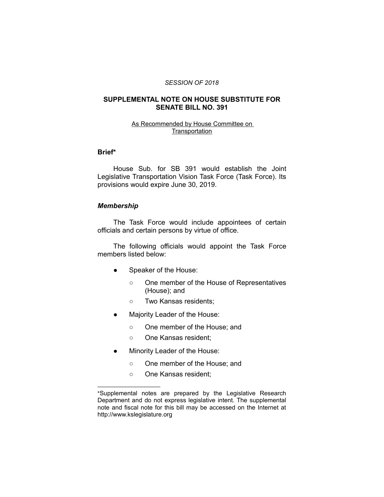#### *SESSION OF 2018*

# **SUPPLEMENTAL NOTE ON HOUSE SUBSTITUTE FOR SENATE BILL NO. 391**

# As Recommended by House Committee on **Transportation**

# **Brief\***

House Sub. for SB 391 would establish the Joint Legislative Transportation Vision Task Force (Task Force). Its provisions would expire June 30, 2019.

#### *Membership*

The Task Force would include appointees of certain officials and certain persons by virtue of office.

The following officials would appoint the Task Force members listed below:

- Speaker of the House:
	- One member of the House of Representatives (House); and
	- Two Kansas residents;
- Majority Leader of the House:
	- One member of the House; and
	- One Kansas resident;
- Minority Leader of the House:
	- One member of the House; and
	- One Kansas resident;

 $\overline{\phantom{a}}$  , where  $\overline{\phantom{a}}$  , where  $\overline{\phantom{a}}$ 

<sup>\*</sup>Supplemental notes are prepared by the Legislative Research Department and do not express legislative intent. The supplemental note and fiscal note for this bill may be accessed on the Internet at http://www.kslegislature.org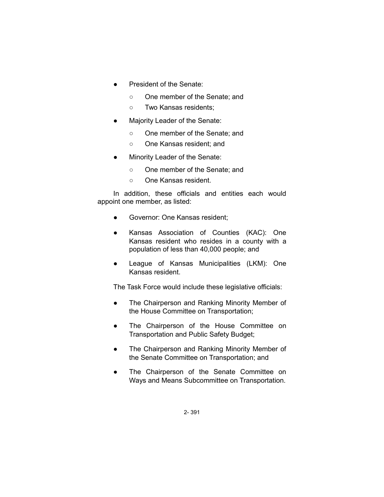- President of the Senate:
	- One member of the Senate; and
	- Two Kansas residents;
- Majority Leader of the Senate:
	- One member of the Senate; and
	- One Kansas resident; and
- Minority Leader of the Senate:
	- One member of the Senate; and
	- One Kansas resident.

In addition, these officials and entities each would appoint one member, as listed:

- Governor: One Kansas resident;
- Kansas Association of Counties (KAC): One Kansas resident who resides in a county with a population of less than 40,000 people; and
- League of Kansas Municipalities (LKM): One Kansas resident.

The Task Force would include these legislative officials:

- The Chairperson and Ranking Minority Member of the House Committee on Transportation;
- The Chairperson of the House Committee on Transportation and Public Safety Budget;
- The Chairperson and Ranking Minority Member of the Senate Committee on Transportation; and
- The Chairperson of the Senate Committee on Ways and Means Subcommittee on Transportation.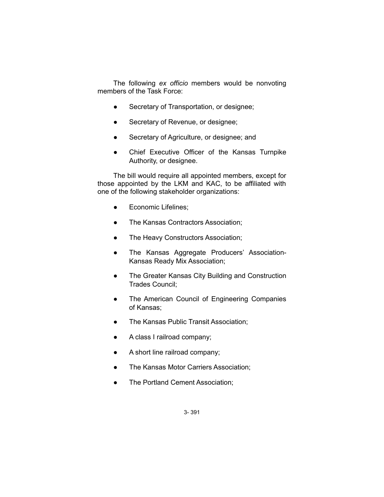The following *ex officio* members would be nonvoting members of the Task Force:

- Secretary of Transportation, or designee;
- Secretary of Revenue, or designee;
- Secretary of Agriculture, or designee; and
- Chief Executive Officer of the Kansas Turnpike Authority, or designee.

The bill would require all appointed members, except for those appointed by the LKM and KAC, to be affiliated with one of the following stakeholder organizations:

- **•** Economic Lifelines;
- The Kansas Contractors Association;
- The Heavy Constructors Association;
- The Kansas Aggregate Producers' Association-Kansas Ready Mix Association;
- The Greater Kansas City Building and Construction Trades Council;
- The American Council of Engineering Companies of Kansas;
- The Kansas Public Transit Association;
- A class I railroad company;
- A short line railroad company;
- The Kansas Motor Carriers Association;
- The Portland Cement Association;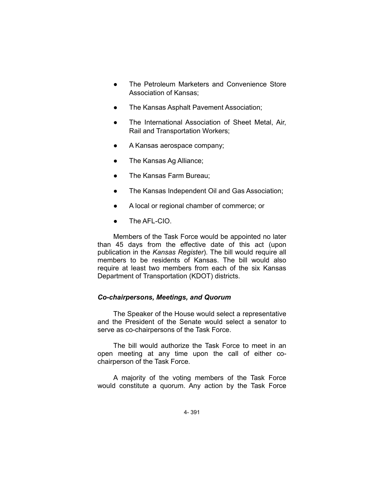- The Petroleum Marketers and Convenience Store Association of Kansas;
- The Kansas Asphalt Pavement Association;
- The International Association of Sheet Metal, Air, Rail and Transportation Workers;
- A Kansas aerospace company;
- The Kansas Ag Alliance;
- The Kansas Farm Bureau;
- The Kansas Independent Oil and Gas Association;
- A local or regional chamber of commerce; or
- The AFL-CIO.

Members of the Task Force would be appointed no later than 45 days from the effective date of this act (upon publication in the *Kansas Register*). The bill would require all members to be residents of Kansas. The bill would also require at least two members from each of the six Kansas Department of Transportation (KDOT) districts.

# *Co-chairpersons, Meetings, and Quorum*

The Speaker of the House would select a representative and the President of the Senate would select a senator to serve as co-chairpersons of the Task Force.

The bill would authorize the Task Force to meet in an open meeting at any time upon the call of either cochairperson of the Task Force.

A majority of the voting members of the Task Force would constitute a quorum. Any action by the Task Force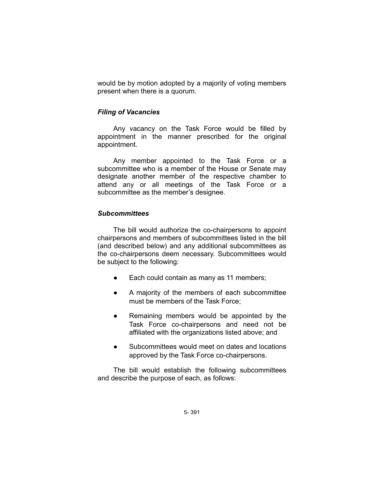would be by motion adopted by a majority of voting members present when there is a quorum.

## *Filing of Vacancies*

Any vacancy on the Task Force would be filled by appointment in the manner prescribed for the original appointment.

Any member appointed to the Task Force or a subcommittee who is a member of the House or Senate may designate another member of the respective chamber to attend any or all meetings of the Task Force or a subcommittee as the member's designee.

# *Subcommittees*

The bill would authorize the co-chairpersons to appoint chairpersons and members of subcommittees listed in the bill (and described below) and any additional subcommittees as the co-chairpersons deem necessary. Subcommittees would be subject to the following:

- Each could contain as many as 11 members;
- A majority of the members of each subcommittee must be members of the Task Force;
- Remaining members would be appointed by the Task Force co-chairpersons and need not be affiliated with the organizations listed above; and
- Subcommittees would meet on dates and locations approved by the Task Force co-chairpersons.

The bill would establish the following subcommittees and describe the purpose of each, as follows: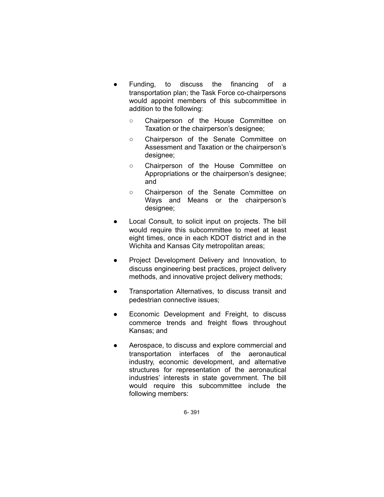- Funding, to discuss the financing of a transportation plan; the Task Force co-chairpersons would appoint members of this subcommittee in addition to the following:
	- Chairperson of the House Committee on Taxation or the chairperson's designee;
	- Chairperson of the Senate Committee on Assessment and Taxation or the chairperson's designee;
	- Chairperson of the House Committee on Appropriations or the chairperson's designee; and
	- Chairperson of the Senate Committee on Ways and Means or the chairperson's designee;
- Local Consult, to solicit input on projects. The bill would require this subcommittee to meet at least eight times, once in each KDOT district and in the Wichita and Kansas City metropolitan areas;
- Project Development Delivery and Innovation, to discuss engineering best practices, project delivery methods, and innovative project delivery methods;
- Transportation Alternatives, to discuss transit and pedestrian connective issues;
- Economic Development and Freight, to discuss commerce trends and freight flows throughout Kansas; and
- Aerospace, to discuss and explore commercial and transportation interfaces of the aeronautical industry, economic development, and alternative structures for representation of the aeronautical industries' interests in state government. The bill would require this subcommittee include the following members: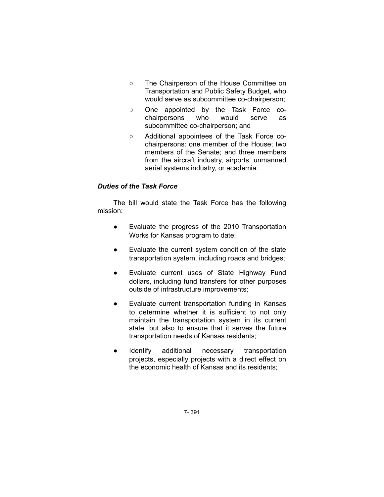- The Chairperson of the House Committee on Transportation and Public Safety Budget, who would serve as subcommittee co-chairperson;
- One appointed by the Task Force cochairpersons who would serve as subcommittee co-chairperson; and
- Additional appointees of the Task Force cochairpersons: one member of the House; two members of the Senate; and three members from the aircraft industry, airports, unmanned aerial systems industry, or academia.

# *Duties of the Task Force*

The bill would state the Task Force has the following mission:

- Evaluate the progress of the 2010 Transportation Works for Kansas program to date;
- Evaluate the current system condition of the state transportation system, including roads and bridges;
- Evaluate current uses of State Highway Fund dollars, including fund transfers for other purposes outside of infrastructure improvements;
- Evaluate current transportation funding in Kansas to determine whether it is sufficient to not only maintain the transportation system in its current state, but also to ensure that it serves the future transportation needs of Kansas residents;
- Identify additional necessary transportation projects, especially projects with a direct effect on the economic health of Kansas and its residents;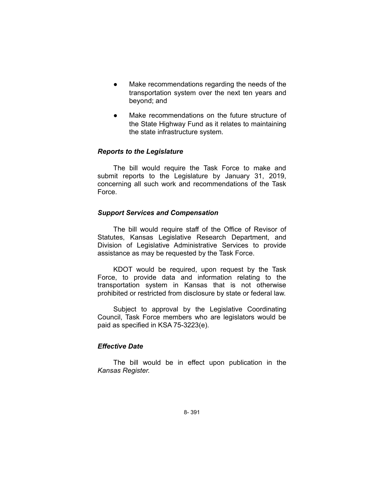- Make recommendations regarding the needs of the transportation system over the next ten years and beyond; and
- Make recommendations on the future structure of the State Highway Fund as it relates to maintaining the state infrastructure system.

# *Reports to the Legislature*

The bill would require the Task Force to make and submit reports to the Legislature by January 31, 2019, concerning all such work and recommendations of the Task Force.

#### *Support Services and Compensation*

The bill would require staff of the Office of Revisor of Statutes, Kansas Legislative Research Department, and Division of Legislative Administrative Services to provide assistance as may be requested by the Task Force.

KDOT would be required, upon request by the Task Force, to provide data and information relating to the transportation system in Kansas that is not otherwise prohibited or restricted from disclosure by state or federal law.

Subject to approval by the Legislative Coordinating Council, Task Force members who are legislators would be paid as specified in KSA 75-3223(e).

#### *Effective Date*

The bill would be in effect upon publication in the *Kansas Register.*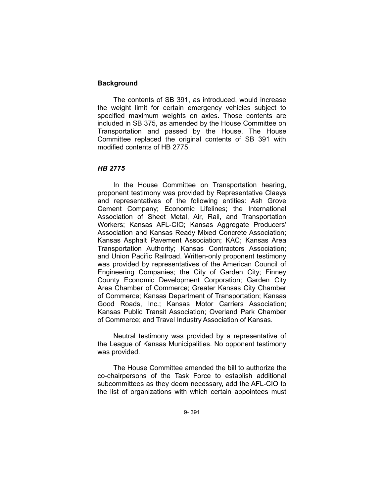# **Background**

The contents of SB 391, as introduced, would increase the weight limit for certain emergency vehicles subject to specified maximum weights on axles. Those contents are included in SB 375, as amended by the House Committee on Transportation and passed by the House. The House Committee replaced the original contents of SB 391 with modified contents of HB 2775.

#### *HB 2775*

In the House Committee on Transportation hearing, proponent testimony was provided by Representative Claeys and representatives of the following entities: Ash Grove Cement Company; Economic Lifelines; the International Association of Sheet Metal, Air, Rail, and Transportation Workers; Kansas AFL-CIO; Kansas Aggregate Producers' Association and Kansas Ready Mixed Concrete Association; Kansas Asphalt Pavement Association; KAC; Kansas Area Transportation Authority; Kansas Contractors Association; and Union Pacific Railroad. Written-only proponent testimony was provided by representatives of the American Council of Engineering Companies; the City of Garden City; Finney County Economic Development Corporation; Garden City Area Chamber of Commerce; Greater Kansas City Chamber of Commerce; Kansas Department of Transportation; Kansas Good Roads, Inc.; Kansas Motor Carriers Association; Kansas Public Transit Association; Overland Park Chamber of Commerce; and Travel Industry Association of Kansas.

Neutral testimony was provided by a representative of the League of Kansas Municipalities. No opponent testimony was provided.

The House Committee amended the bill to authorize the co-chairpersons of the Task Force to establish additional subcommittees as they deem necessary, add the AFL-CIO to the list of organizations with which certain appointees must